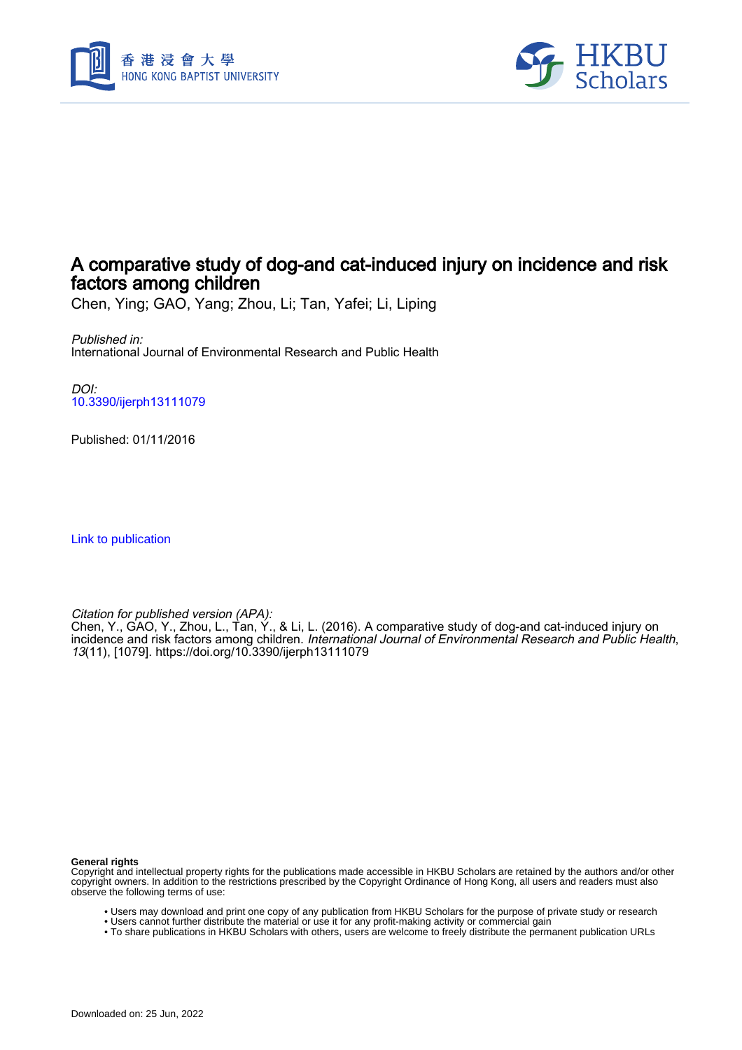



# A comparative study of dog-and cat-induced injury on incidence and risk factors among children

Chen, Ying; GAO, Yang; Zhou, Li; Tan, Yafei; Li, Liping

Published in: International Journal of Environmental Research and Public Health

DOI: [10.3390/ijerph13111079](https://doi.org/10.3390/ijerph13111079)

Published: 01/11/2016

[Link to publication](https://scholars.hkbu.edu.hk/en/publications/069d7611-4419-4a80-ba70-3c27778d2d8c)

Citation for published version (APA):

Chen, Y., GAO, Y., Zhou, L., Tan, Y., & Li, L. (2016). A comparative study of dog-and cat-induced injury on incidence and risk factors among children. *International Journal of Environmental Research and Public Health*, 13(11), [1079]. <https://doi.org/10.3390/ijerph13111079>

**General rights**

Copyright and intellectual property rights for the publications made accessible in HKBU Scholars are retained by the authors and/or other copyright owners. In addition to the restrictions prescribed by the Copyright Ordinance of Hong Kong, all users and readers must also observe the following terms of use:

- Users may download and print one copy of any publication from HKBU Scholars for the purpose of private study or research
- Users cannot further distribute the material or use it for any profit-making activity or commercial gain
- To share publications in HKBU Scholars with others, users are welcome to freely distribute the permanent publication URLs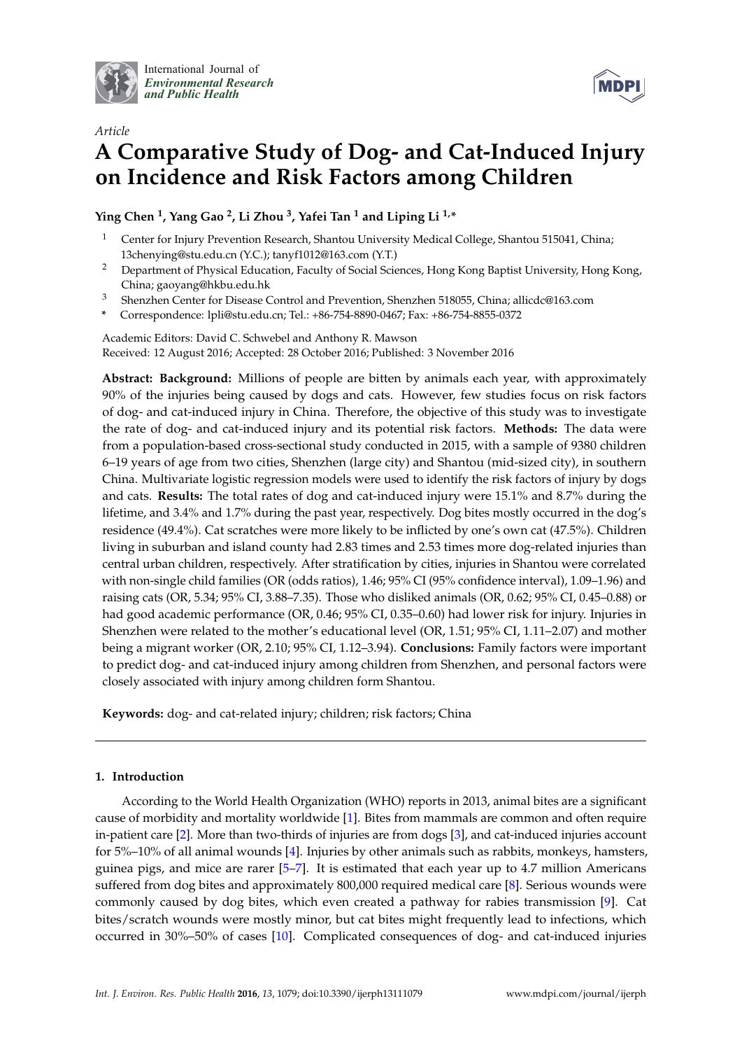

International Journal of *[Environmental Research](http://www.mdpi.com/journal/ijerph) and Public Health*



# *Article* **A Comparative Study of Dog- and Cat-Induced Injury on Incidence and Risk Factors among Children**

**Ying Chen <sup>1</sup> , Yang Gao <sup>2</sup> , Li Zhou <sup>3</sup> , Yafei Tan <sup>1</sup> and Liping Li 1,\***

- <sup>1</sup> Center for Injury Prevention Research, Shantou University Medical College, Shantou 515041, China; 13chenying@stu.edu.cn (Y.C.); tanyf1012@163.com (Y.T.)
- <sup>2</sup> Department of Physical Education, Faculty of Social Sciences, Hong Kong Baptist University, Hong Kong, China; gaoyang@hkbu.edu.hk
- <sup>3</sup> Shenzhen Center for Disease Control and Prevention, Shenzhen 518055, China; allicdc@163.com
- **\*** Correspondence: lpli@stu.edu.cn; Tel.: +86-754-8890-0467; Fax: +86-754-8855-0372

Academic Editors: David C. Schwebel and Anthony R. Mawson Received: 12 August 2016; Accepted: 28 October 2016; Published: 3 November 2016

**Abstract: Background:** Millions of people are bitten by animals each year, with approximately 90% of the injuries being caused by dogs and cats. However, few studies focus on risk factors of dog- and cat-induced injury in China. Therefore, the objective of this study was to investigate the rate of dog- and cat-induced injury and its potential risk factors. **Methods:** The data were from a population-based cross-sectional study conducted in 2015, with a sample of 9380 children 6–19 years of age from two cities, Shenzhen (large city) and Shantou (mid-sized city), in southern China. Multivariate logistic regression models were used to identify the risk factors of injury by dogs and cats. **Results:** The total rates of dog and cat-induced injury were 15.1% and 8.7% during the lifetime, and 3.4% and 1.7% during the past year, respectively. Dog bites mostly occurred in the dog's residence (49.4%). Cat scratches were more likely to be inflicted by one's own cat (47.5%). Children living in suburban and island county had 2.83 times and 2.53 times more dog-related injuries than central urban children, respectively. After stratification by cities, injuries in Shantou were correlated with non-single child families (OR (odds ratios), 1.46; 95% CI (95% confidence interval), 1.09–1.96) and raising cats (OR, 5.34; 95% CI, 3.88–7.35). Those who disliked animals (OR, 0.62; 95% CI, 0.45–0.88) or had good academic performance (OR, 0.46; 95% CI, 0.35–0.60) had lower risk for injury. Injuries in Shenzhen were related to the mother's educational level (OR, 1.51; 95% CI, 1.11–2.07) and mother being a migrant worker (OR, 2.10; 95% CI, 1.12–3.94). **Conclusions:** Family factors were important to predict dog- and cat-induced injury among children from Shenzhen, and personal factors were closely associated with injury among children form Shantou.

**Keywords:** dog- and cat-related injury; children; risk factors; China

## **1. Introduction**

According to the World Health Organization (WHO) reports in 2013, animal bites are a significant cause of morbidity and mortality worldwide [1]. Bites from mammals are common and often require in-patient care [2]. More than two-thirds of injuries are from dogs [3], and cat-induced injuries account for 5%–10% of all animal wounds [4]. Injuries by other animals such as rabbits, monkeys, hamsters, guinea pigs, and mice are rarer [5–7]. It is estimated that each year up to 4.7 million Americans suffered from dog bites and approximately 800,000 required medical care [8]. Serious wounds were commonly caused by dog bites, which even created a pathway for rabies transmission [9]. Cat bites/scratch wounds were mostly minor, but cat bites might frequently lead to infections, which occurred in 30%–50% of cases [10]. Complicated consequences of dog- and cat-induced injuries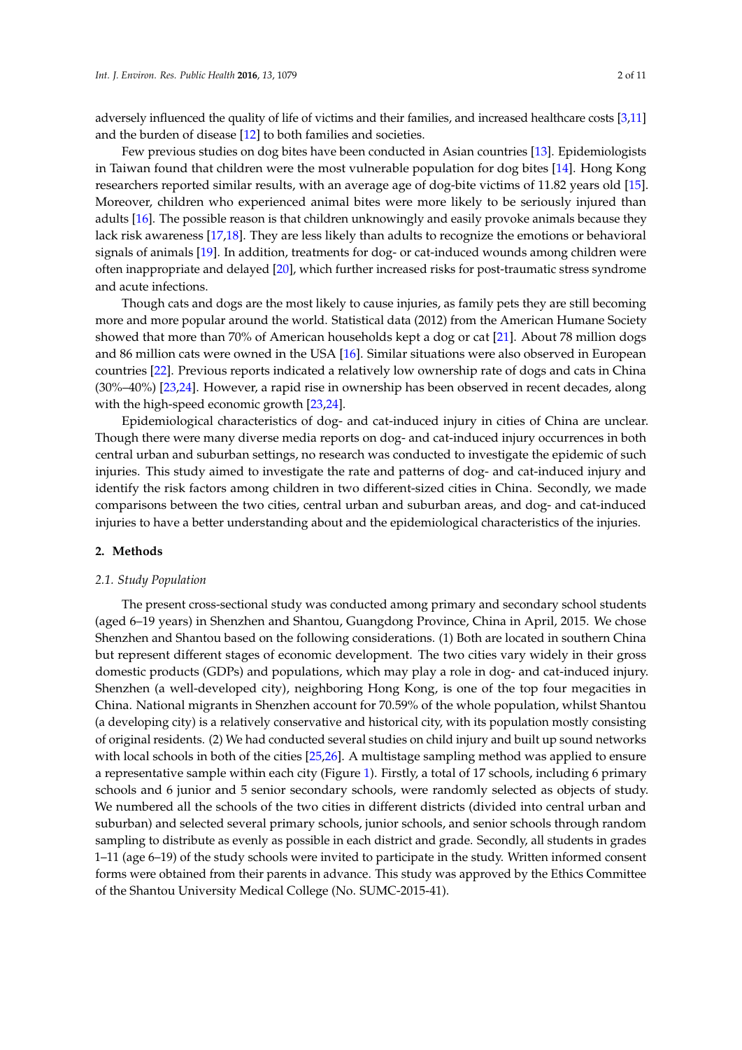adversely influenced the quality of life of victims and their families, and increased healthcare costs [3,11] and the burden of disease [12] to both families and societies.

Few previous studies on dog bites have been conducted in Asian countries [13]. Epidemiologists in Taiwan found that children were the most vulnerable population for dog bites [14]. Hong Kong researchers reported similar results, with an average age of dog-bite victims of 11.82 years old [15]. Moreover, children who experienced animal bites were more likely to be seriously injured than adults [16]. The possible reason is that children unknowingly and easily provoke animals because they lack risk awareness [17,18]. They are less likely than adults to recognize the emotions or behavioral signals of animals [19]. In addition, treatments for dog- or cat-induced wounds among children were often inappropriate and delayed [20], which further increased risks for post-traumatic stress syndrome and acute infections.

Though cats and dogs are the most likely to cause injuries, as family pets they are still becoming more and more popular around the world. Statistical data (2012) from the American Humane Society showed that more than 70% of American households kept a dog or cat [21]. About 78 million dogs and 86 million cats were owned in the USA [16]. Similar situations were also observed in European countries [22]. Previous reports indicated a relatively low ownership rate of dogs and cats in China (30%–40%) [23,24]. However, a rapid rise in ownership has been observed in recent decades, along with the high-speed economic growth [23,24].

Epidemiological characteristics of dog- and cat-induced injury in cities of China are unclear. Though there were many diverse media reports on dog- and cat-induced injury occurrences in both central urban and suburban settings, no research was conducted to investigate the epidemic of such injuries. This study aimed to investigate the rate and patterns of dog- and cat-induced injury and identify the risk factors among children in two different-sized cities in China. Secondly, we made comparisons between the two cities, central urban and suburban areas, and dog- and cat-induced injuries to have a better understanding about and the epidemiological characteristics of the injuries.

#### **2. Methods**

#### *2.1. Study Population*

The present cross-sectional study was conducted among primary and secondary school students (aged 6–19 years) in Shenzhen and Shantou, Guangdong Province, China in April, 2015. We chose Shenzhen and Shantou based on the following considerations. (1) Both are located in southern China but represent different stages of economic development. The two cities vary widely in their gross domestic products (GDPs) and populations, which may play a role in dog- and cat-induced injury. Shenzhen (a well-developed city), neighboring Hong Kong, is one of the top four megacities in China. National migrants in Shenzhen account for 70.59% of the whole population, whilst Shantou (a developing city) is a relatively conservative and historical city, with its population mostly consisting of original residents. (2) We had conducted several studies on child injury and built up sound networks with local schools in both of the cities [25,26]. A multistage sampling method was applied to ensure a representative sample within each city (Figure 1). Firstly, a total of 17 schools, including 6 primary schools and 6 junior and 5 senior secondary schools, were randomly selected as objects of study. We numbered all the schools of the two cities in different districts (divided into central urban and suburban) and selected several primary schools, junior schools, and senior schools through random sampling to distribute as evenly as possible in each district and grade. Secondly, all students in grades 1–11 (age 6–19) of the study schools were invited to participate in the study. Written informed consent forms were obtained from their parents in advance. This study was approved by the Ethics Committee of the Shantou University Medical College (No. SUMC-2015-41).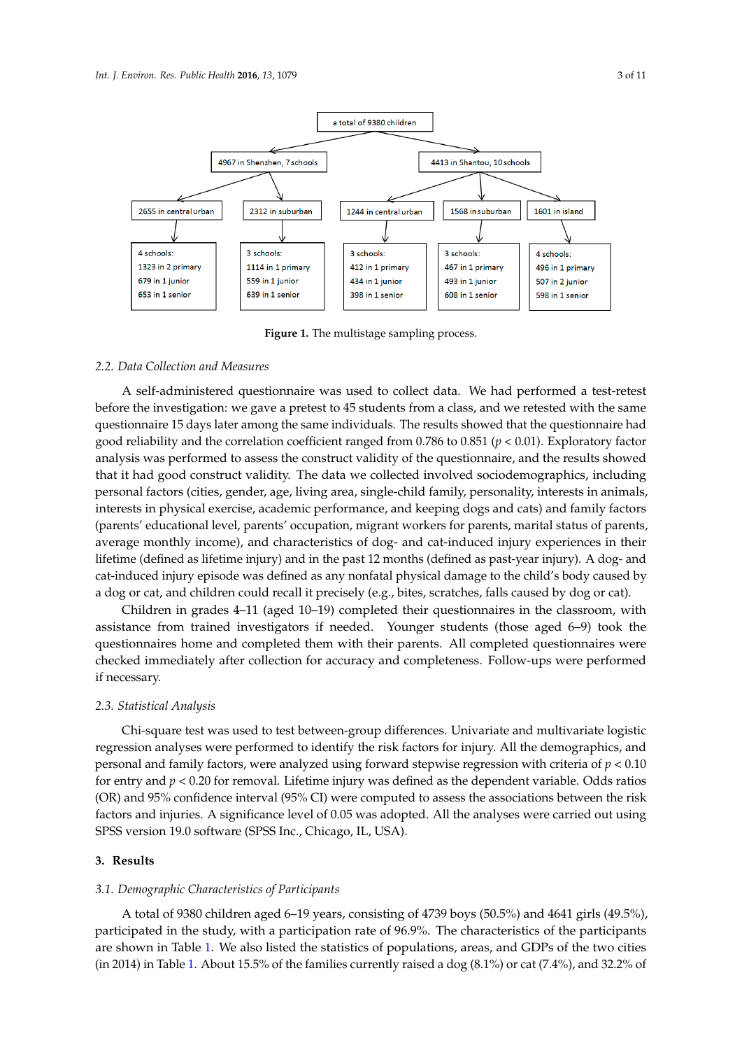

**Figure 1.** The multistage sampling process. **Figure 1.** The multistage sampling process.

#### *2.2. Data Collection and Measures 2.2. Data Collection and Measures*

A self-administered questionnaire was used to collect data. We had performed a test-retest A self-administered questionnaire was used to collect data. We had performed a test-retest before the investigation: we gave a pretest to 45 students from a class, and we retested with the same before the investigation: we gave a pretest to 45 students from a class, and we retested with the same questionnaire 15 days later among the same individuals. The results showed that the questionnaire questionnaire 15 days later among the same individuals. The results showed that the questionnaire had had good reliability and the correlation coefficient ranged from 0.786 to 0.851 (*p* < 0.01). Exploratory good reliability and the correlation coefficient ranged from 0.786 to 0.851 (*p* < 0.01). Exploratory factor analysis was performed to assess the construct validity of the questionnaire, and the results showed that it had good construct validity. The data we collected involved sociodemographics, including personal factors (cities, gender, age, living area, single-child family, personality, interests in animals, interests in physical exercise, academic performance, and keeping dogs and cats) and family factors (parents' educational level, parents' occupation, migrant workers for parents, marital status of parents, average monthly income), and characteristics of dog- and cat-induced injury experiences in their lifetime (defined as lifetime injury) and in the past 12 months (defined as past-year injury). A dog- and cat-induced injury episode was defined as any nonfatal physical damage to the child's body caused by or cat). a dog or cat, and children could recall it precisely (e.g., bites, scratches, falls caused by dog or cat).<br>Call in the class of the classic could recall it precisely (e.g., bites, scratches, falls caused by dog or cat

Children in grades 4–11 (aged 10–19) completed their questionnaires in the classroom, with assistance from trained investigators if needed. Younger students (those aged 6–9) took the questionnaires home and completed them with their parents. All completed questionnaires were checked immediately after collection for accuracy and completeness. Follow-ups were performed if necessary.

#### chi-square test was used to test between-group differences. University of the multivariate and multivariate lo *2.3. Statistical Analysis*

*2.3. Statistical Analysis* 

Chi-square test was used to test between-group differences. Univariate and multivariate logistic regression analyses were performed to identify the risk factors for injury. All the demographics, and for entry and *p* < 0.20 for removal. Lifetime injury was defined as the dependent variable. Odds ratios personal and family factors, were analyzed using forward stepwise regression with criteria of *p* < 0.10<br>
in the risk of *p* and *i* is the risk of *p* and *i* is the part of *p* and *i* is the *p* in the *p* in the *p* is for entry and  $p < 0.20$  for removal. Lifetime injury was defined as the dependent variable. Odds ratios (OR) and 95% confidence interval (95% CI) were computed to assess the associations between the risk SPSS version 19.0 software (SPSS Inc., Chicago, IL, USA). factors and injuries. A significance level of 0.05 was adopted. All the analyses were carried out using

### *3.1. Demographic Characteristics of Participants*  **3. Results**

#### $A \subset G$ <sub>tot</sub>  $A \subset G$ <sub>i</sub>ng of 4739 boys (50.5%) and 4739 boys (50.5%) and 4739 boys (50.5%) and 4641 girls (49.5%),  $A$ participated in the study, with a participation rate of 96.9%. The characteristics of the participants are *3.1. Demographic Characteristics of Participants*

A total of 9380 children aged 6–19 years, consisting of 4739 boys (50.5%) and 4641 girls (49.5%), participated in the study, with a participation rate of 96.9%. The characteristics of the participants are shown in Table 1. We also listed the statistics of populations, areas, and GDPs of the two cities (in 2014) in Table 1. About 15.5% of the families currently raised a dog (8.1%) or cat (7.4%), and 32.2% of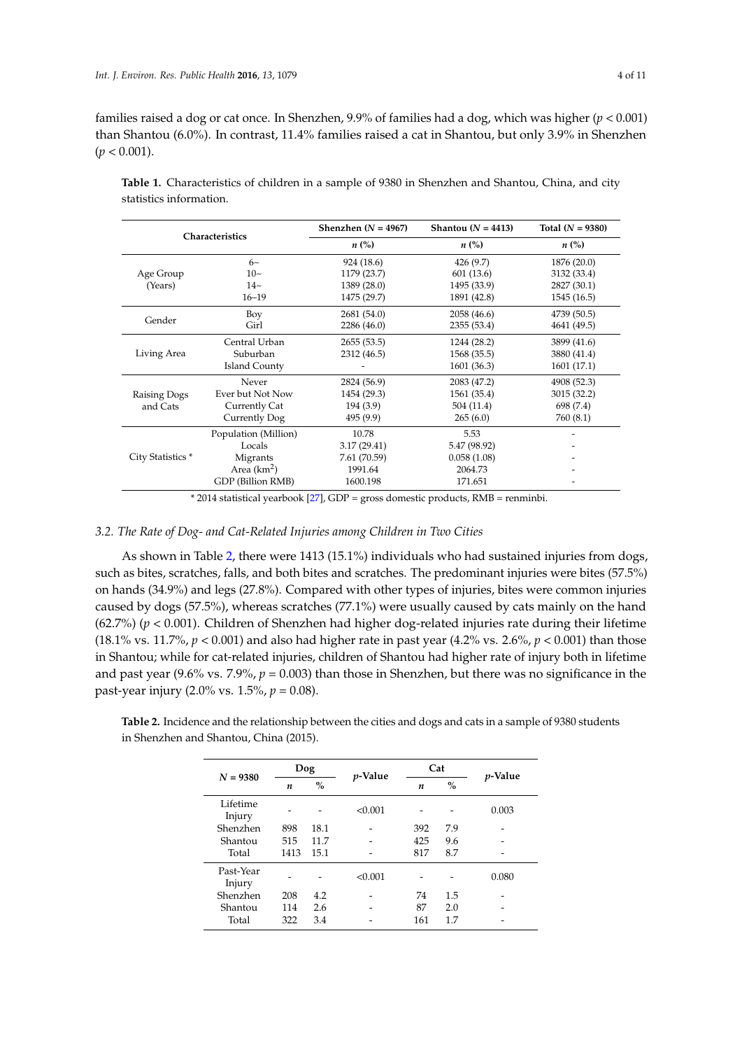families raised a dog or cat once. In Shenzhen, 9.9% of families had a dog, which was higher (*p* < 0.001) than Shantou (6.0%). In contrast, 11.4% families raised a cat in Shantou, but only 3.9% in Shenzhen  $(p < 0.001)$ .

| Characteristics   |                      | Shenzhen ( $N = 4967$ ) | Shantou $(N = 4413)$ | Total $(N = 9380)$ |  |  |
|-------------------|----------------------|-------------------------|----------------------|--------------------|--|--|
|                   |                      | $n\ (\%)$               | $n\ (\%)$            | $n\left(\%\right)$ |  |  |
|                   | $6\sim$              | 924 (18.6)              | 426 (9.7)            | 1876 (20.0)        |  |  |
| Age Group         | $10-$                | 1179 (23.7)             | 601 (13.6)           | 3132 (33.4)        |  |  |
| (Years)           | $14-$                | 1389 (28.0)             | 1495 (33.9)          | 2827 (30.1)        |  |  |
|                   | $16 - 19$            | 1475 (29.7)             | 1891 (42.8)          | 1545 (16.5)        |  |  |
|                   | Boy                  | 2681 (54.0)             | 2058 (46.6)          | 4739 (50.5)        |  |  |
| Gender            | Girl                 | 2286 (46.0)             | 2355 (53.4)          | 4641 (49.5)        |  |  |
|                   | Central Urban        | 2655(53.5)              | 1244 (28.2)          | 3899 (41.6)        |  |  |
| Living Area       | Suburban             | 2312 (46.5)             | 1568 (35.5)          | 3880 (41.4)        |  |  |
|                   | Island County        |                         | 1601 (36.3)          | 1601 (17.1)        |  |  |
|                   | Never                | 2824 (56.9)             | 2083 (47.2)          | 4908 (52.3)        |  |  |
| Raising Dogs      | Ever but Not Now     | 1454 (29.3)             | 1561 (35.4)          | 3015 (32.2)        |  |  |
| and Cats          | Currently Cat        | 194(3.9)                | 504 (11.4)           | 698 (7.4)          |  |  |
|                   | Currently Dog        | 495 (9.9)               | 265(6.0)             | 760 (8.1)          |  |  |
|                   | Population (Million) | 10.78                   | 5.53                 |                    |  |  |
|                   | Locals               | 3.17(29.41)             | 5.47 (98.92)         |                    |  |  |
| City Statistics * | Migrants             | 7.61 (70.59)            | 0.058(1.08)          |                    |  |  |
|                   | Area $(km^2)$        | 1991.64                 | 2064.73              |                    |  |  |
|                   | GDP (Billion RMB)    | 1600.198                | 171.651              |                    |  |  |

**Table 1.** Characteristics of children in a sample of 9380 in Shenzhen and Shantou, China, and city statistics information.

\* 2014 statistical yearbook [27], GDP = gross domestic products, RMB = renminbi.

#### *3.2. The Rate of Dog- and Cat-Related Injuries among Children in Two Cities*

As shown in Table 2, there were 1413 (15.1%) individuals who had sustained injuries from dogs, such as bites, scratches, falls, and both bites and scratches. The predominant injuries were bites (57.5%) on hands (34.9%) and legs (27.8%). Compared with other types of injuries, bites were common injuries caused by dogs (57.5%), whereas scratches (77.1%) were usually caused by cats mainly on the hand (62.7%) (*p* < 0.001). Children of Shenzhen had higher dog-related injuries rate during their lifetime (18.1% vs. 11.7%,  $p < 0.001$ ) and also had higher rate in past year (4.2% vs. 2.6%,  $p < 0.001$ ) than those in Shantou; while for cat-related injuries, children of Shantou had higher rate of injury both in lifetime and past year (9.6% vs.  $7.9\%$ ,  $p = 0.003$ ) than those in Shenzhen, but there was no significance in the past-year injury (2.0% vs. 1.5%, *p* = 0.08).

**Table 2.** Incidence and the relationship between the cities and dogs and cats in a sample of 9380 students in Shenzhen and Shantou, China (2015).

| $N = 9380$          | <b>Dog</b> |               | <i>p</i> -Value | Cat |      | <i>p</i> -Value |
|---------------------|------------|---------------|-----------------|-----|------|-----------------|
|                     | n          | $\frac{0}{0}$ |                 | n   | $\%$ |                 |
| Lifetime<br>Injury  |            |               | < 0.001         |     |      | 0.003           |
| Shenzhen            | 898        | 18.1          |                 | 392 | 7.9  |                 |
| Shantou             | 515        | 11.7          |                 | 425 | 9.6  |                 |
| Total               | 1413       | 15.1          |                 | 817 | 8.7  |                 |
| Past-Year<br>Injury |            |               | < 0.001         |     |      | 0.080           |
| Shenzhen            | 208        | 4.2           |                 | 74  | 1.5  |                 |
| Shantou             | 114        | 2.6           |                 | 87  | 2.0  |                 |
| Total               | 322        | 3.4           |                 | 161 | 1.7  |                 |
|                     |            |               |                 |     |      |                 |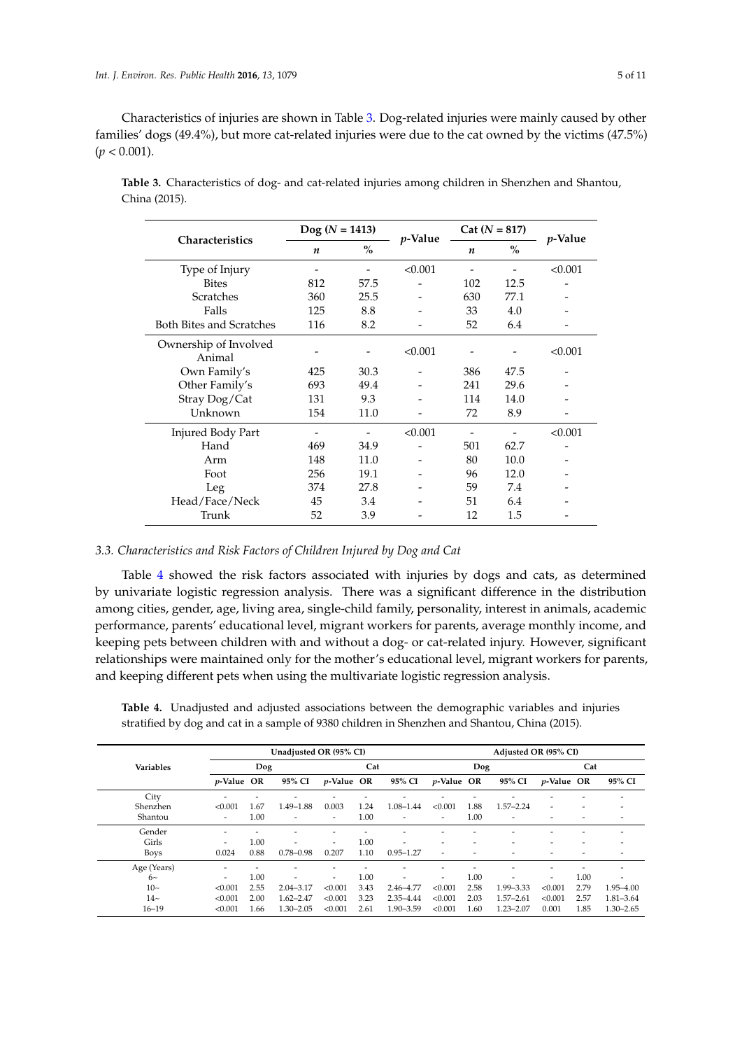Characteristics of injuries are shown in Table 3. Dog-related injuries were mainly caused by other families' dogs (49.4%), but more cat-related injuries were due to the cat owned by the victims (47.5%)  $(p < 0.001)$ .

| <b>Characteristics</b>          | $\log (N = 1413)$ |      | <i>p</i> -Value | $Cat (N = 817)$  | <i>p</i> -Value |         |
|---------------------------------|-------------------|------|-----------------|------------------|-----------------|---------|
|                                 | n                 | $\%$ |                 | $\boldsymbol{n}$ | $\%$            |         |
| Type of Injury                  |                   |      | < 0.001         |                  |                 | < 0.001 |
| <b>Bites</b>                    | 812               | 57.5 |                 | 102              | 12.5            |         |
| <b>Scratches</b>                | 360               | 25.5 |                 | 630              | 77.1            |         |
| Falls                           | 125               | 8.8  |                 | 33               | 4.0             |         |
| <b>Both Bites and Scratches</b> | 116               | 8.2  |                 | 52               | 6.4             |         |
| Ownership of Involved<br>Animal |                   |      | < 0.001         |                  |                 | < 0.001 |
| Own Family's                    | 425               | 30.3 |                 | 386              | 47.5            |         |
| Other Family's                  | 693               | 49.4 |                 | 241              | 29.6            |         |
| Stray Dog/Cat                   | 131               | 9.3  |                 | 114              | 14.0            |         |
| Unknown                         | 154               | 11.0 |                 | 72               | 8.9             |         |
| <b>Injured Body Part</b>        |                   |      | < 0.001         |                  |                 | < 0.001 |
| Hand                            | 469               | 34.9 |                 | 501              | 62.7            |         |
| Arm                             | 148               | 11.0 |                 | 80               | 10.0            |         |
| Foot                            | 256               | 19.1 |                 | 96               | 12.0            |         |
| Leg                             | 374               | 27.8 |                 | 59               | 7.4             |         |
| Head/Face/Neck                  | 45                | 3.4  |                 | 51               | 6.4             |         |
| Trunk                           | 52                | 3.9  |                 | 12               | 1.5             |         |

**Table 3.** Characteristics of dog- and cat-related injuries among children in Shenzhen and Shantou, China (2015).

# *3.3. Characteristics and Risk Factors of Children Injured by Dog and Cat*

Table 4 showed the risk factors associated with injuries by dogs and cats, as determined by univariate logistic regression analysis. There was a significant difference in the distribution among cities, gender, age, living area, single-child family, personality, interest in animals, academic performance, parents' educational level, migrant workers for parents, average monthly income, and keeping pets between children with and without a dog- or cat-related injury. However, significant relationships were maintained only for the mother's educational level, migrant workers for parents, and keeping different pets when using the multivariate logistic regression analysis.

| Unadjusted OR (95% CI)   |      |               |                          |      |                    |                          | Adjusted OR (95% CI) |                    |                          |      |                    |  |  |
|--------------------------|------|---------------|--------------------------|------|--------------------|--------------------------|----------------------|--------------------|--------------------------|------|--------------------|--|--|
| Dog                      |      |               | Cat                      |      |                    | Dog                      |                      |                    | Cat                      |      |                    |  |  |
|                          |      | 95% CI        |                          |      | 95% CI             |                          |                      | 95% CI             |                          |      | 95% CI             |  |  |
|                          |      |               |                          |      |                    |                          |                      |                    |                          |      |                    |  |  |
| < 0.001                  | 1.67 | $1.49 - 1.88$ | 0.003                    | 1.24 | 1.08-1.44          | < 0.001                  | 1.88                 | $1.57 - 2.24$      | $\overline{\phantom{a}}$ |      |                    |  |  |
| $\overline{\phantom{a}}$ | 1.00 |               | $\overline{\phantom{a}}$ | 1.00 | ٠                  | $\overline{\phantom{0}}$ | 1.00                 |                    |                          |      |                    |  |  |
| $\overline{\phantom{a}}$ |      |               |                          |      |                    |                          |                      |                    |                          |      |                    |  |  |
| -                        | 1.00 | ٠             | $\overline{\phantom{a}}$ | 1.00 | ٠                  | $\overline{\phantom{a}}$ |                      |                    |                          |      | ۰                  |  |  |
| 0.024                    | 0.88 | $0.78 - 0.98$ | 0.207                    | 1.10 | $0.95 - 1.27$      | ۰                        |                      |                    |                          |      |                    |  |  |
|                          |      |               |                          |      |                    |                          |                      |                    |                          |      |                    |  |  |
| $\overline{\phantom{a}}$ | 1.00 |               | $\overline{\phantom{a}}$ | 1.00 |                    | $\overline{\phantom{a}}$ | 1.00                 |                    |                          | 1.00 |                    |  |  |
| < 0.001                  | 2.55 | $2.04 - 3.17$ | < 0.001                  | 3.43 | 2.46-4.77          | < 0.001                  | 2.58                 | 1.99 - 3.33        | < 0.001                  | 2.79 | 1.95-4.00          |  |  |
| < 0.001                  | 2.00 | $1.62 - 2.47$ | < 0.001                  | 3.23 | 2.35-4.44          | < 0.001                  | 2.03                 | $1.57 - 2.61$      | < 0.001                  | 2.57 | 1.81-3.64          |  |  |
| < 0.001                  | 1.66 | $1.30 - 2.05$ | < 0.001                  | 2.61 | $1.90 - 3.59$      | < 0.001                  | 1.60                 | $1.23 - 2.07$      | 0.001                    | 1.85 | $1.30 - 2.65$      |  |  |
|                          |      | $p$ -Value OR |                          |      | <i>p</i> -Value OR |                          |                      | <i>p</i> -Value OR |                          |      | <i>p</i> -Value OR |  |  |

**Table 4.** Unadjusted and adjusted associations between the demographic variables and injuries stratified by dog and cat in a sample of 9380 children in Shenzhen and Shantou, China (2015).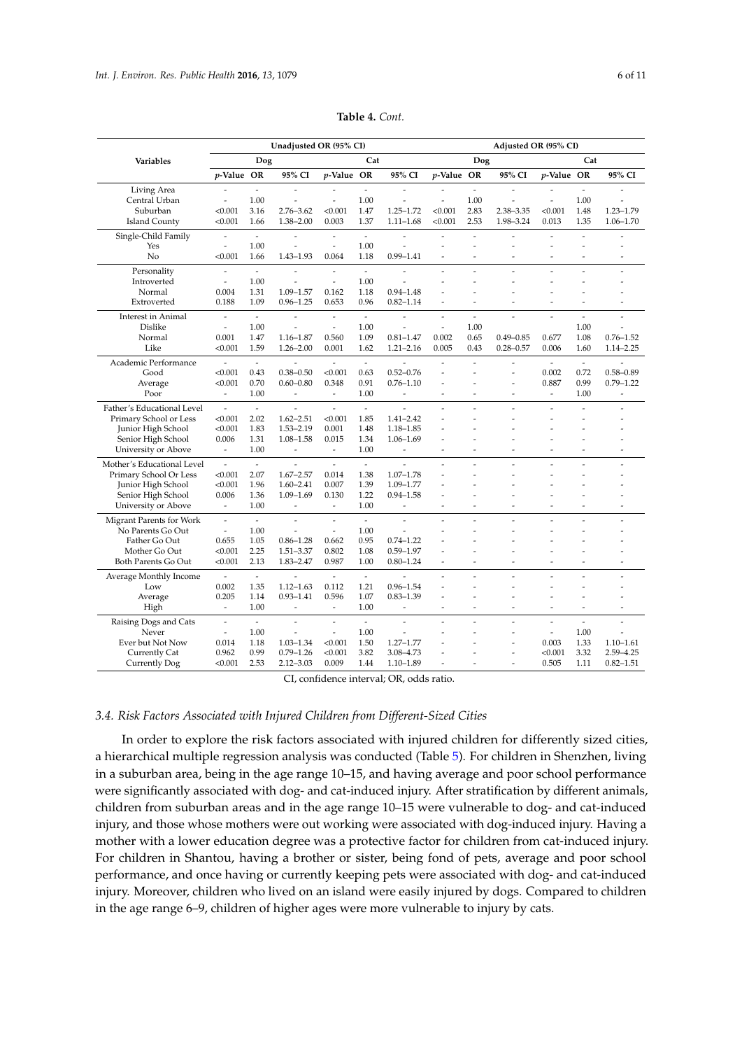|                            |                          |                          | Unadjusted OR (95% CI)   |                          |                          |                          | Adjusted OR (95% CI)     |                |                |                          |                          |                          |
|----------------------------|--------------------------|--------------------------|--------------------------|--------------------------|--------------------------|--------------------------|--------------------------|----------------|----------------|--------------------------|--------------------------|--------------------------|
| Variables                  |                          | Dog                      |                          |                          | Cat                      |                          |                          | Dog            |                |                          | Cat                      |                          |
|                            | p-Value OR               |                          | 95% CI                   | <i>p</i> -Value OR       |                          | 95% CI                   | p-Value OR               |                | 95% CI         | <i>p</i> -Value OR       |                          | 95% CI                   |
| Living Area                | $\overline{a}$           | $\overline{\phantom{a}}$ | $\overline{a}$           |                          | $\sim$                   | $\overline{a}$           | $\overline{a}$           | $\overline{a}$ | $\overline{a}$ |                          | $\overline{a}$           |                          |
| Central Urban              | $\overline{a}$           | 1.00                     | $\overline{a}$           |                          | 1.00                     | $\overline{a}$           | $\overline{a}$           | 1.00           | $\overline{a}$ | $\overline{a}$           | 1.00                     |                          |
| Suburban                   | < 0.001                  | 3.16                     | 2.76-3.62                | < 0.001                  | 1.47                     | $1.25 - 1.72$            | < 0.001                  | 2.83           | 2.38-3.35      | < 0.001                  | 1.48                     | 1.23-1.79                |
| <b>Island County</b>       | < 0.001                  | 1.66                     | 1.38-2.00                | 0.003                    | 1.37                     | $1.11 - 1.68$            | < 0.001                  | 2.53           | 1.98-3.24      | 0.013                    | 1.35                     | $1.06 - 1.70$            |
| Single-Child Family        | $\overline{a}$           | $\sim$                   |                          | $\overline{a}$           | $\overline{\phantom{a}}$ | $\overline{a}$           | $\overline{a}$           | $\overline{a}$ |                |                          | $\overline{a}$           |                          |
| Yes                        | $\overline{a}$           | 1.00                     | $\overline{a}$           | $\overline{a}$           | 1.00                     | $\overline{a}$           | $\overline{a}$           | $\overline{a}$ | $\overline{a}$ | $\overline{a}$           |                          |                          |
| No                         | < 0.001                  | 1.66                     | 1.43-1.93                | 0.064                    | 1.18                     | $0.99 - 1.41$            | ÷,                       | $\overline{a}$ | ٠              | $\overline{a}$           | $\overline{\phantom{a}}$ | ٠                        |
| Personality                | $\overline{a}$           | $\overline{\phantom{a}}$ |                          | $\overline{a}$           | $\overline{\phantom{a}}$ |                          | $\overline{a}$           | $\overline{a}$ | $\overline{a}$ | $\overline{a}$           | $\overline{a}$           | $\overline{a}$           |
| Introverted                | $\overline{a}$           | 1.00                     |                          | $\overline{a}$           | 1.00                     |                          |                          | $\overline{a}$ |                |                          |                          |                          |
| Normal                     | 0.004                    | 1.31                     | 1.09-1.57                | 0.162                    | 1.18                     | $0.94 - 1.48$            |                          |                |                |                          |                          |                          |
| Extroverted                | 0.188                    | 1.09                     | $0.96 - 1.25$            | 0.653                    | 0.96                     | $0.82 - 1.14$            | $\overline{a}$           | ÷,             | ٠              | $\overline{a}$           | $\overline{\phantom{a}}$ |                          |
| Interest in Animal         | $\overline{a}$           | $\blacksquare$           | $\overline{a}$           | $\overline{a}$           | $\blacksquare$           | $\overline{a}$           | $\overline{\phantom{a}}$ | $\overline{a}$ | $\overline{a}$ | $\overline{a}$           | $\overline{a}$           | $\overline{a}$           |
| <b>Dislike</b>             | $\overline{a}$           | 1.00                     | $\overline{a}$           | $\overline{\phantom{a}}$ | 1.00                     | $\overline{a}$           | $\overline{\phantom{a}}$ | 1.00           |                |                          | 1.00                     |                          |
| Normal                     | 0.001                    | 1.47                     | $1.16 - 1.87$            | 0.560                    | 1.09                     | $0.81 - 1.47$            | 0.002                    | 0.65           | $0.49 - 0.85$  | 0.677                    | 1.08                     | $0.76 - 1.52$            |
| Like                       | < 0.001                  | 1.59                     | $1.26 - 2.00$            | 0.001                    | 1.62                     | $1.21 - 2.16$            | 0.005                    | 0.43           | $0.28 - 0.57$  | 0.006                    | 1.60                     | $1.14 - 2.25$            |
| Academic Performance       | $\overline{a}$           | $\overline{a}$           | $\overline{a}$           | $\overline{a}$           | $\sim$                   | L,                       | $\overline{a}$           | $\overline{a}$ | $\overline{a}$ | $\overline{a}$           | $\overline{a}$           |                          |
| Good                       | < 0.001                  | 0.43                     | $0.38 - 0.50$            | < 0.001                  | 0.63                     | $0.52 - 0.76$            | $\overline{a}$           | $\overline{a}$ | ÷,             | 0.002                    | 0.72                     | $0.58 - 0.89$            |
| Average                    | < 0.001                  | 0.70                     | $0.60 - 0.80$            | 0.348                    | 0.91                     | $0.76 - 1.10$            | $\overline{a}$           |                | $\overline{a}$ | 0.887                    | 0.99                     | $0.79 - 1.22$            |
| Poor                       | $\overline{\phantom{a}}$ | 1.00                     | $\overline{\phantom{a}}$ | $\overline{\phantom{a}}$ | 1.00                     | $\blacksquare$           | $\overline{\phantom{a}}$ | ÷,             | $\overline{a}$ | $\overline{\phantom{a}}$ | 1.00                     | $\overline{\phantom{a}}$ |
| Father's Educational Level | $\frac{1}{2}$            | $\overline{\phantom{a}}$ | $\overline{\phantom{a}}$ | $\overline{\phantom{a}}$ | $\overline{\phantom{a}}$ | $\overline{\phantom{a}}$ | $\overline{a}$           | $\overline{a}$ | $\overline{a}$ | $\overline{a}$           | $\overline{a}$           | $\overline{a}$           |
| Primary School or Less     | < 0.001                  | 2.02                     | $1.62 - 2.51$            | < 0.001                  | 1.85                     | $1.41 - 2.42$            |                          |                |                | $\overline{a}$           |                          |                          |
| Junior High School         | < 0.001                  | 1.83                     | 1.53-2.19                | 0.001                    | 1.48                     | 1.18-1.85                | $\overline{a}$           |                |                | $\overline{a}$           |                          |                          |
| Senior High School         | 0.006                    | 1.31                     | 1.08-1.58                | 0.015                    | 1.34                     | 1.06-1.69                |                          |                |                |                          |                          |                          |
| University or Above        | $\overline{\phantom{a}}$ | 1.00                     | $\overline{\phantom{m}}$ | $\overline{\phantom{a}}$ | 1.00                     | $\overline{\phantom{0}}$ |                          | Ĭ.             |                | Ĭ.                       | $\overline{\phantom{a}}$ |                          |
| Mother's Educational Level | $\overline{a}$           | $\overline{\phantom{a}}$ | $\overline{a}$           | $\overline{a}$           | $\mathbb{L}$             | $\overline{a}$           | $\overline{a}$           | $\overline{a}$ | $\overline{a}$ | $\overline{a}$           | $\overline{a}$           | $\overline{a}$           |
| Primary School Or Less     | < 0.001                  | 2.07                     | $1.67 - 2.57$            | 0.014                    | 1.38                     | $1.07 - 1.78$            | $\overline{a}$           | $\overline{a}$ |                |                          |                          |                          |
| Junior High School         | < 0.001                  | 1.96                     | $1.60 - 2.41$            | 0.007                    | 1.39                     | 1.09-1.77                |                          |                |                |                          |                          |                          |
| Senior High School         | 0.006                    | 1.36                     | 1.09-1.69                | 0.130                    | 1.22                     | $0.94 - 1.58$            | $\overline{a}$           |                |                |                          |                          |                          |
| University or Above        | $\frac{1}{2}$            | 1.00                     | $\overline{a}$           | $\sim$                   | 1.00                     |                          | $\overline{a}$           | L,             | ٠              | ÷                        | $\overline{\phantom{a}}$ | $\overline{\phantom{a}}$ |
| Migrant Parents for Work   | $\overline{a}$           | $\sim$                   | $\overline{a}$           | $\overline{a}$           | $\sim$                   | L.                       | $\overline{a}$           | $\overline{a}$ | $\overline{a}$ | $\overline{a}$           | $\overline{a}$           | $\overline{a}$           |
| No Parents Go Out          | $\frac{1}{2}$            | 1.00                     | ÷,                       | $\overline{\phantom{a}}$ | 1.00                     | $\overline{a}$           | $\overline{\phantom{a}}$ | $\overline{a}$ | ٠              | ÷,                       | $\overline{\phantom{a}}$ | $\overline{\phantom{a}}$ |
| Father Go Out              | 0.655                    | 1.05                     | $0.86 - 1.28$            | 0.662                    | 0.95                     | $0.74 - 1.22$            |                          |                |                |                          |                          |                          |
| Mother Go Out              | < 0.001                  | 2.25                     | 1.51-3.37                | 0.802                    | 1.08                     | $0.59 - 1.97$            | ÷,                       | $\overline{a}$ |                |                          |                          |                          |
| Both Parents Go Out        | < 0.001                  | 2.13                     | 1.83-2.47                | 0.987                    | 1.00                     | $0.80 - 1.24$            | $\overline{a}$           | $\overline{a}$ | $\overline{a}$ | $\overline{a}$           | $\overline{a}$           | ÷,                       |
| Average Monthly Income     | $\overline{a}$           | $\overline{\phantom{a}}$ |                          |                          | $\overline{\phantom{a}}$ |                          |                          | $\overline{a}$ |                | $\overline{a}$           |                          | $\overline{\phantom{a}}$ |
| Low                        | 0.002                    | 1.35                     | $1.12 - 1.63$            | 0.112                    | 1.21                     | $0.96 - 1.54$            | $\overline{a}$           | $\overline{a}$ |                |                          |                          |                          |
| Average                    | 0.205                    | 1.14                     | $0.93 - 1.41$            | 0.596                    | 1.07                     | $0.83 - 1.39$            |                          |                |                |                          |                          |                          |
| High                       | $\overline{\phantom{a}}$ | 1.00                     | $\overline{\phantom{a}}$ | $\overline{\phantom{a}}$ | 1.00                     | $\overline{\phantom{m}}$ | ÷,                       | -              |                | -                        |                          |                          |
| Raising Dogs and Cats      | $\overline{a}$           | $\overline{\phantom{a}}$ | $\overline{a}$           | $\overline{a}$           | $\overline{\phantom{a}}$ | $\overline{a}$           | $\overline{a}$           | $\overline{a}$ | $\overline{a}$ | $\overline{a}$           | $\overline{a}$           | $\overline{a}$           |
| Never                      | $\overline{a}$           | 1.00                     | $\overline{a}$           | $\overline{a}$           | 1.00                     | $\overline{a}$           |                          |                | ٠              | $\overline{a}$           | 1.00                     |                          |
| Ever but Not Now           | 0.014                    | 1.18                     | 1.03-1.34                | < 0.001                  | 1.50                     | $1.27 - 1.77$            |                          |                |                | 0.003                    | 1.33                     | $1.10 - 1.61$            |
| Currently Cat              | 0.962                    | 0.99                     | $0.79 - 1.26$            | < 0.001                  | 3.82                     | 3.08-4.73                | $\overline{a}$           |                | -              | < 0.001                  | 3.32                     | 2.59-4.25                |
| <b>Currently Dog</b>       | < 0.001                  | 2.53                     | $2.12 - 3.03$            | 0.009                    | 1.44                     | $1.10 - 1.89$            |                          |                | L.             | 0.505                    | 1.11                     | $0.82 - 1.51$            |

**Table 4.** *Cont.*

CI, confidence interval; OR, odds ratio.

#### *3.4. Risk Factors Associated with Injured Children from Different-Sized Cities*

In order to explore the risk factors associated with injured children for differently sized cities, a hierarchical multiple regression analysis was conducted (Table 5). For children in Shenzhen, living in a suburban area, being in the age range 10–15, and having average and poor school performance were significantly associated with dog- and cat-induced injury. After stratification by different animals, children from suburban areas and in the age range 10–15 were vulnerable to dog- and cat-induced injury, and those whose mothers were out working were associated with dog-induced injury. Having a mother with a lower education degree was a protective factor for children from cat-induced injury. For children in Shantou, having a brother or sister, being fond of pets, average and poor school performance, and once having or currently keeping pets were associated with dog- and cat-induced injury. Moreover, children who lived on an island were easily injured by dogs. Compared to children in the age range 6–9, children of higher ages were more vulnerable to injury by cats.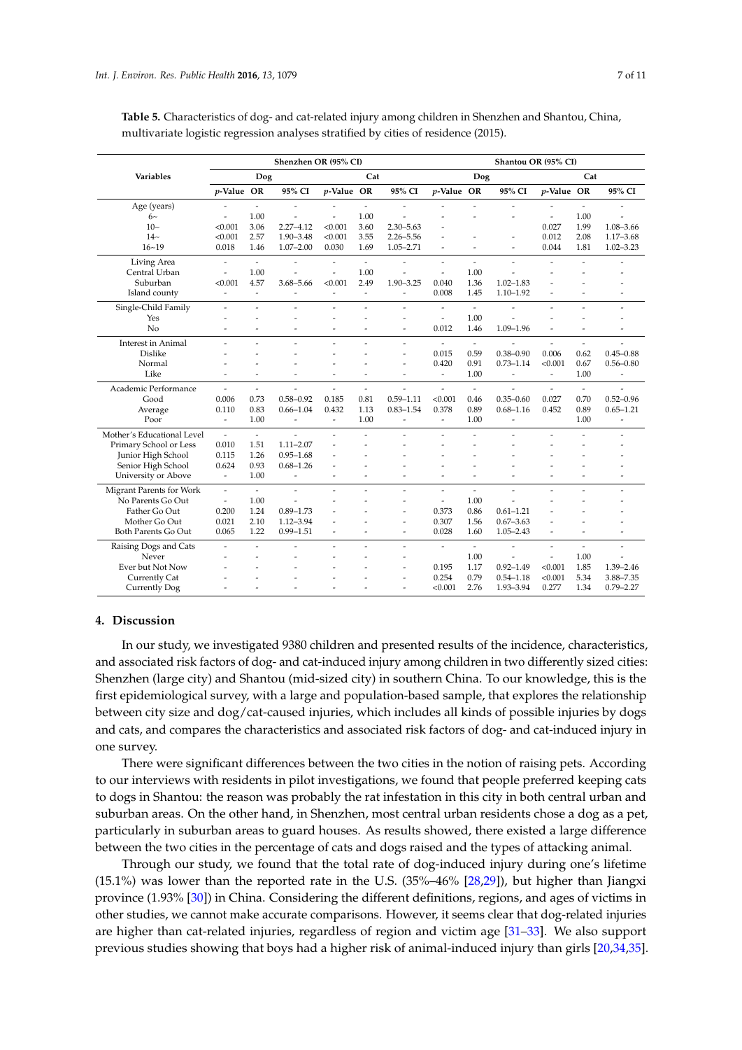|                            |                          |                          | Shenzhen OR (95% CI) |                          |                          |                          | Shantou OR (95% CI)      |                          |                          |                          |                          |                          |
|----------------------------|--------------------------|--------------------------|----------------------|--------------------------|--------------------------|--------------------------|--------------------------|--------------------------|--------------------------|--------------------------|--------------------------|--------------------------|
| <b>Variables</b>           |                          | Dog                      |                      |                          | Cat                      |                          |                          | Dog                      |                          |                          | Cat                      |                          |
|                            | p-Value OR               |                          | 95% CI               | p-Value OR               |                          | 95% CI                   | p-Value OR               |                          | 95% CI                   | p-Value OR               |                          | 95% CI                   |
| Age (years)                |                          | $\overline{\phantom{a}}$ | ÷                    |                          | $\overline{\phantom{a}}$ |                          |                          |                          |                          |                          |                          |                          |
| $6-$                       | $\overline{a}$           | 1.00                     |                      |                          | 1.00                     |                          |                          |                          |                          | $\overline{a}$           | 1.00                     |                          |
| $10-$                      | < 0.001                  | 3.06                     | $2.27 - 4.12$        | < 0.001                  | 3.60                     | $2.30 - 5.63$            |                          |                          |                          | 0.027                    | 1.99                     | 1.08-3.66                |
| $14-$                      | < 0.001                  | 2.57                     | 1.90-3.48            | < 0.001                  | 3.55                     | $2.26 - 5.56$            |                          |                          | ٠                        | 0.012                    | 2.08                     | $1.17 - 3.68$            |
| $16 - 19$                  | 0.018                    | 1.46                     | $1.07 - 2.00$        | 0.030                    | 1.69                     | $1.05 - 2.71$            | $\overline{a}$           | ٠                        | ٠                        | 0.044                    | 1.81                     | $1.02 - 3.23$            |
| Living Area                | $\overline{\phantom{a}}$ | $\overline{\phantom{a}}$ | ٠                    | $\overline{\phantom{a}}$ | $\overline{\phantom{a}}$ | ٠                        | $\overline{\phantom{0}}$ | $\overline{a}$           | $\overline{a}$           | $\overline{a}$           | $\overline{\phantom{a}}$ |                          |
| Central Urban              | $\overline{\phantom{a}}$ | 1.00                     | $\overline{a}$       | $\overline{a}$           | 1.00                     | ÷                        | $\overline{\phantom{a}}$ | 1.00                     |                          | ۰                        |                          |                          |
| Suburban                   | < 0.001                  | 4.57                     | 3.68-5.66            | < 0.001                  | 2.49                     | $1.90 - 3.25$            | 0.040                    | 1.36                     | $1.02 - 1.83$            |                          |                          |                          |
| Island county              | $\overline{a}$           | $\overline{a}$           | L.                   | $\overline{a}$           | $\overline{a}$           | $\overline{a}$           | 0.008                    | 1.45                     | $1.10 - 1.92$            |                          |                          |                          |
| Single-Child Family        | $\overline{\phantom{a}}$ |                          | ٠                    | $\overline{\phantom{a}}$ | ÷,                       | ٠                        | $\overline{a}$           | $\tilde{\phantom{a}}$    |                          | $\overline{\phantom{a}}$ | $\overline{\phantom{a}}$ | $\overline{\phantom{a}}$ |
| Yes                        |                          |                          |                      |                          |                          | ۰                        | $\overline{a}$           | 1.00                     |                          |                          |                          |                          |
| No                         |                          |                          | ٠                    |                          | ٠                        | $\overline{a}$           | 0.012                    | 1.46                     | $1.09 - 1.96$            |                          |                          |                          |
| <b>Interest in Animal</b>  | $\overline{a}$           | $\overline{a}$           | $\overline{a}$       | $\overline{a}$           | $\overline{a}$           | $\overline{a}$           | $\overline{a}$           | $\overline{\phantom{a}}$ |                          | $\overline{a}$           | $\frac{1}{2}$            |                          |
| <b>Dislike</b>             |                          |                          |                      |                          |                          | $\overline{a}$           | 0.015                    | 0.59                     | $0.38 - 0.90$            | 0.006                    | 0.62                     | $0.45 - 0.88$            |
| Normal                     |                          |                          |                      |                          |                          | ٠                        | 0.420                    | 0.91                     | $0.73 - 1.14$            | < 0.001                  | 0.67                     | $0.56 - 0.80$            |
| Like                       | $\overline{a}$           | $\overline{a}$           | ÷,                   | $\overline{a}$           | $\overline{\phantom{a}}$ | $\overline{a}$           | $\overline{a}$           | 1.00                     | ٠                        | $\overline{\phantom{a}}$ | 1.00                     | $\overline{\phantom{a}}$ |
| Academic Performance       | $\overline{a}$           | $\sim$                   | $\overline{a}$       |                          | $\overline{a}$           |                          | $\overline{a}$           | $\overline{a}$           |                          | $\overline{a}$           | $\overline{\phantom{a}}$ |                          |
| Good                       | 0.006                    | 0.73                     | $0.58 - 0.92$        | 0.185                    | 0.81                     | $0.59 - 1.11$            | < 0.001                  | 0.46                     | $0.35 - 0.60$            | 0.027                    | 0.70                     | $0.52 - 0.96$            |
| Average                    | 0.110                    | 0.83                     | $0.66 - 1.04$        | 0.432                    | 1.13                     | $0.83 - 1.54$            | 0.378                    | 0.89                     | $0.68 - 1.16$            | 0.452                    | 0.89                     | $0.65 - 1.21$            |
| Poor                       | $\overline{\phantom{a}}$ | 1.00                     | $\overline{a}$       | $\overline{\phantom{a}}$ | 1.00                     | $\overline{\phantom{a}}$ | $\frac{1}{2}$            | 1.00                     | $\overline{a}$           |                          | 1.00                     | ÷,                       |
| Mother's Educational Level | $\overline{\phantom{a}}$ | $\overline{\phantom{a}}$ |                      |                          |                          |                          |                          |                          |                          |                          |                          |                          |
| Primary School or Less     | 0.010                    | 1.51                     | $1.11 - 2.07$        |                          |                          |                          |                          |                          |                          |                          |                          |                          |
| Junior High School         | 0.115                    | 1.26                     | $0.95 - 1.68$        |                          |                          |                          |                          |                          |                          |                          |                          |                          |
| Senior High School         | 0.624                    | 0.93                     | $0.68 - 1.26$        |                          |                          |                          |                          |                          |                          |                          |                          |                          |
| University or Above        | $\overline{\phantom{a}}$ | 1.00                     | ÷,                   | $\overline{a}$           | L,                       |                          | $\overline{a}$           | ÷,                       |                          |                          |                          |                          |
| Migrant Parents for Work   | $\overline{\phantom{a}}$ | $\overline{\phantom{a}}$ | ٠                    |                          |                          | ÷,                       | ÷,                       | ÷,                       |                          |                          |                          | $\overline{\phantom{a}}$ |
| No Parents Go Out          | $\overline{\phantom{a}}$ | 1.00                     |                      |                          |                          |                          | $\overline{a}$           | 1.00                     |                          |                          |                          |                          |
| Father Go Out              | 0.200                    | 1.24                     | $0.89 - 1.73$        |                          |                          | $\overline{a}$           | 0.373                    | 0.86                     | $0.61 - 1.21$            |                          |                          |                          |
| Mother Go Out              | 0.021                    | 2.10                     | 1.12-3.94            | L,                       |                          | $\overline{\phantom{a}}$ | 0.307                    | 1.56                     | $0.67 - 3.63$            | $\overline{\phantom{a}}$ |                          |                          |
| <b>Both Parents Go Out</b> | 0.065                    | 1.22                     | $0.99 - 1.51$        | ÷,                       | ÷,                       | $\overline{\phantom{a}}$ | 0.028                    | 1.60                     | $1.05 - 2.43$            | $\overline{a}$           | $\overline{\phantom{a}}$ | $\overline{a}$           |
| Raising Dogs and Cats      | $\overline{a}$           | $\overline{a}$           | ٠                    | $\overline{a}$           | $\overline{\phantom{a}}$ | $\overline{\phantom{a}}$ | $\overline{a}$           | $\overline{\phantom{a}}$ | ٠                        | $\overline{a}$           | $\overline{\phantom{a}}$ | $\overline{\phantom{a}}$ |
| Never                      | ۰                        | ۰                        | ۰                    |                          | ۰                        | ٠                        |                          | 1.00                     | $\overline{\phantom{a}}$ | $\overline{\phantom{a}}$ | 1.00                     | $\overline{\phantom{a}}$ |
| Ever but Not Now           |                          |                          |                      |                          |                          | ٠                        | 0.195                    | 1.17                     | $0.92 - 1.49$            | < 0.001                  | 1.85                     | $1.39 - 2.46$            |
| Currently Cat              |                          |                          |                      |                          |                          | ۰                        | 0.254                    | 0.79                     | $0.54 - 1.18$            | < 0.001                  | 5.34                     | 3.88-7.35                |
| <b>Currently Dog</b>       |                          |                          |                      |                          |                          | ٠                        | < 0.001                  | 2.76                     | 1.93-3.94                | 0.277                    | 1.34                     | $0.79 - 2.27$            |

**Table 5.** Characteristics of dog- and cat-related injury among children in Shenzhen and Shantou, China, multivariate logistic regression analyses stratified by cities of residence (2015).

## **4. Discussion**

In our study, we investigated 9380 children and presented results of the incidence, characteristics, and associated risk factors of dog- and cat-induced injury among children in two differently sized cities: Shenzhen (large city) and Shantou (mid-sized city) in southern China. To our knowledge, this is the first epidemiological survey, with a large and population-based sample, that explores the relationship between city size and dog/cat-caused injuries, which includes all kinds of possible injuries by dogs and cats, and compares the characteristics and associated risk factors of dog- and cat-induced injury in one survey.

There were significant differences between the two cities in the notion of raising pets. According to our interviews with residents in pilot investigations, we found that people preferred keeping cats to dogs in Shantou: the reason was probably the rat infestation in this city in both central urban and suburban areas. On the other hand, in Shenzhen, most central urban residents chose a dog as a pet, particularly in suburban areas to guard houses. As results showed, there existed a large difference between the two cities in the percentage of cats and dogs raised and the types of attacking animal.

Through our study, we found that the total rate of dog-induced injury during one's lifetime (15.1%) was lower than the reported rate in the U.S. (35%–46% [28,29]), but higher than Jiangxi province (1.93% [30]) in China. Considering the different definitions, regions, and ages of victims in other studies, we cannot make accurate comparisons. However, it seems clear that dog-related injuries are higher than cat-related injuries, regardless of region and victim age [31–33]. We also support previous studies showing that boys had a higher risk of animal-induced injury than girls [20,34,35].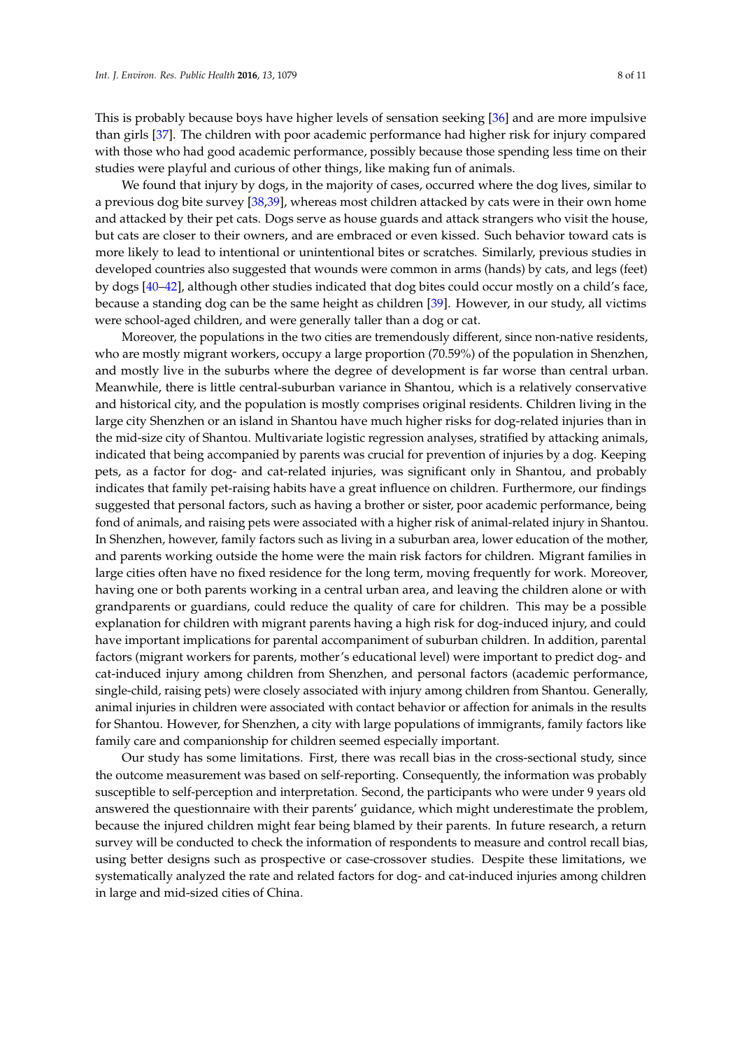This is probably because boys have higher levels of sensation seeking [36] and are more impulsive than girls [37]. The children with poor academic performance had higher risk for injury compared with those who had good academic performance, possibly because those spending less time on their studies were playful and curious of other things, like making fun of animals.

We found that injury by dogs, in the majority of cases, occurred where the dog lives, similar to a previous dog bite survey [38,39], whereas most children attacked by cats were in their own home and attacked by their pet cats. Dogs serve as house guards and attack strangers who visit the house, but cats are closer to their owners, and are embraced or even kissed. Such behavior toward cats is more likely to lead to intentional or unintentional bites or scratches. Similarly, previous studies in developed countries also suggested that wounds were common in arms (hands) by cats, and legs (feet) by dogs [40–42], although other studies indicated that dog bites could occur mostly on a child's face, because a standing dog can be the same height as children [39]. However, in our study, all victims were school-aged children, and were generally taller than a dog or cat.

Moreover, the populations in the two cities are tremendously different, since non-native residents, who are mostly migrant workers, occupy a large proportion (70.59%) of the population in Shenzhen, and mostly live in the suburbs where the degree of development is far worse than central urban. Meanwhile, there is little central-suburban variance in Shantou, which is a relatively conservative and historical city, and the population is mostly comprises original residents. Children living in the large city Shenzhen or an island in Shantou have much higher risks for dog-related injuries than in the mid-size city of Shantou. Multivariate logistic regression analyses, stratified by attacking animals, indicated that being accompanied by parents was crucial for prevention of injuries by a dog. Keeping pets, as a factor for dog- and cat-related injuries, was significant only in Shantou, and probably indicates that family pet-raising habits have a great influence on children. Furthermore, our findings suggested that personal factors, such as having a brother or sister, poor academic performance, being fond of animals, and raising pets were associated with a higher risk of animal-related injury in Shantou. In Shenzhen, however, family factors such as living in a suburban area, lower education of the mother, and parents working outside the home were the main risk factors for children. Migrant families in large cities often have no fixed residence for the long term, moving frequently for work. Moreover, having one or both parents working in a central urban area, and leaving the children alone or with grandparents or guardians, could reduce the quality of care for children. This may be a possible explanation for children with migrant parents having a high risk for dog-induced injury, and could have important implications for parental accompaniment of suburban children. In addition, parental factors (migrant workers for parents, mother's educational level) were important to predict dog- and cat-induced injury among children from Shenzhen, and personal factors (academic performance, single-child, raising pets) were closely associated with injury among children from Shantou. Generally, animal injuries in children were associated with contact behavior or affection for animals in the results for Shantou. However, for Shenzhen, a city with large populations of immigrants, family factors like family care and companionship for children seemed especially important.

Our study has some limitations. First, there was recall bias in the cross-sectional study, since the outcome measurement was based on self-reporting. Consequently, the information was probably susceptible to self-perception and interpretation. Second, the participants who were under 9 years old answered the questionnaire with their parents' guidance, which might underestimate the problem, because the injured children might fear being blamed by their parents. In future research, a return survey will be conducted to check the information of respondents to measure and control recall bias, using better designs such as prospective or case-crossover studies. Despite these limitations, we systematically analyzed the rate and related factors for dog- and cat-induced injuries among children in large and mid-sized cities of China.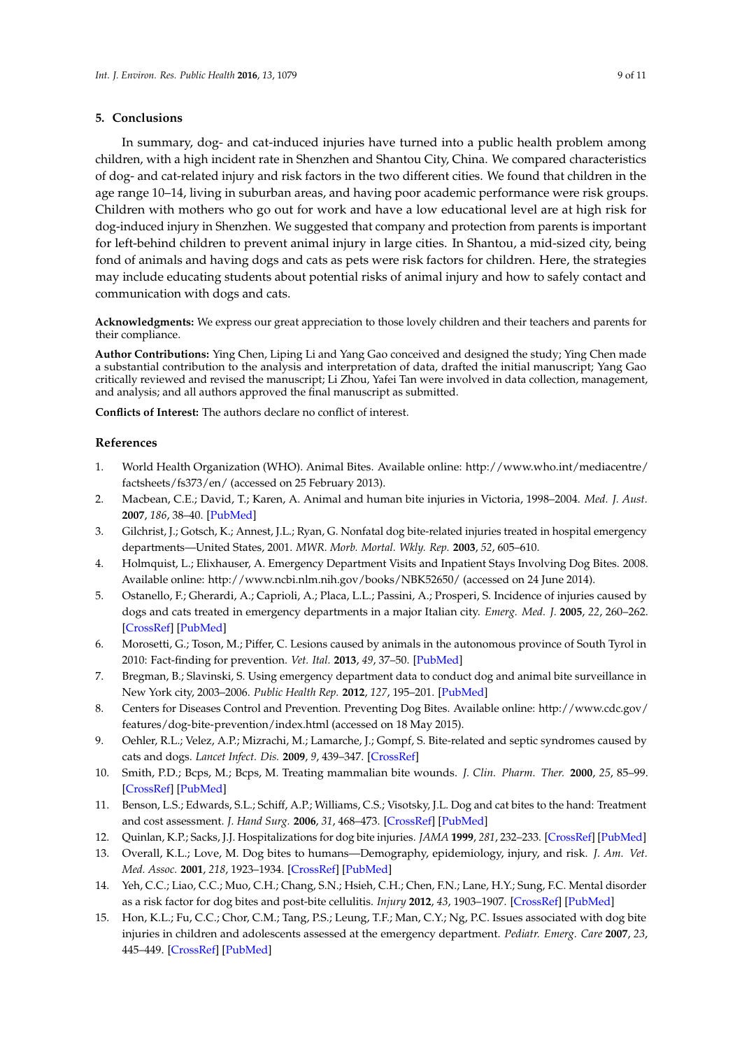#### **5. Conclusions**

In summary, dog- and cat-induced injuries have turned into a public health problem among children, with a high incident rate in Shenzhen and Shantou City, China. We compared characteristics of dog- and cat-related injury and risk factors in the two different cities. We found that children in the age range 10–14, living in suburban areas, and having poor academic performance were risk groups. Children with mothers who go out for work and have a low educational level are at high risk for dog-induced injury in Shenzhen. We suggested that company and protection from parents is important for left-behind children to prevent animal injury in large cities. In Shantou, a mid-sized city, being fond of animals and having dogs and cats as pets were risk factors for children. Here, the strategies may include educating students about potential risks of animal injury and how to safely contact and communication with dogs and cats.

**Acknowledgments:** We express our great appreciation to those lovely children and their teachers and parents for their compliance.

**Author Contributions:** Ying Chen, Liping Li and Yang Gao conceived and designed the study; Ying Chen made a substantial contribution to the analysis and interpretation of data, drafted the initial manuscript; Yang Gao critically reviewed and revised the manuscript; Li Zhou, Yafei Tan were involved in data collection, management, and analysis; and all authors approved the final manuscript as submitted.

**Conflicts of Interest:** The authors declare no conflict of interest.

#### **References**

- 1. World Health Organization (WHO). Animal Bites. Available online: [http://www.who.int/mediacentre/](http://www.who.int/mediacentre/factsheets/fs373/en/) [factsheets/fs373/en/](http://www.who.int/mediacentre/factsheets/fs373/en/) (accessed on 25 February 2013).
- 2. Macbean, C.E.; David, T.; Karen, A. Animal and human bite injuries in Victoria, 1998–2004. *Med. J. Aust.* **2007**, *186*, 38–40. [\[PubMed\]](http://www.ncbi.nlm.nih.gov/pubmed/17229033)
- 3. Gilchrist, J.; Gotsch, K.; Annest, J.L.; Ryan, G. Nonfatal dog bite-related injuries treated in hospital emergency departments—United States, 2001. *MWR. Morb. Mortal. Wkly. Rep.* **2003**, *52*, 605–610.
- 4. Holmquist, L.; Elixhauser, A. Emergency Department Visits and Inpatient Stays Involving Dog Bites. 2008. Available online: <http://www.ncbi.nlm.nih.gov/books/NBK52650/> (accessed on 24 June 2014).
- 5. Ostanello, F.; Gherardi, A.; Caprioli, A.; Placa, L.L.; Passini, A.; Prosperi, S. Incidence of injuries caused by dogs and cats treated in emergency departments in a major Italian city. *Emerg. Med. J.* **2005**, *22*, 260–262. [\[CrossRef\]](http://dx.doi.org/10.1136/emj.2004.014886) [\[PubMed\]](http://www.ncbi.nlm.nih.gov/pubmed/15788824)
- 6. Morosetti, G.; Toson, M.; Piffer, C. Lesions caused by animals in the autonomous province of South Tyrol in 2010: Fact-finding for prevention. *Vet. Ital.* **2013**, *49*, 37–50. [\[PubMed\]](http://www.ncbi.nlm.nih.gov/pubmed/23564587)
- 7. Bregman, B.; Slavinski, S. Using emergency department data to conduct dog and animal bite surveillance in New York city, 2003–2006. *Public Health Rep.* **2012**, *127*, 195–201. [\[PubMed\]](http://www.ncbi.nlm.nih.gov/pubmed/22379219)
- 8. Centers for Diseases Control and Prevention. Preventing Dog Bites. Available online: [http://www.cdc.gov/](http://www.cdc.gov/features/dog-bite-prevention/index.html) [features/dog-bite-prevention/index.html](http://www.cdc.gov/features/dog-bite-prevention/index.html) (accessed on 18 May 2015).
- 9. Oehler, R.L.; Velez, A.P.; Mizrachi, M.; Lamarche, J.; Gompf, S. Bite-related and septic syndromes caused by cats and dogs. *Lancet Infect. Dis.* **2009**, *9*, 439–347. [\[CrossRef\]](http://dx.doi.org/10.1016/S1473-3099(09)70110-0)
- 10. Smith, P.D.; Bcps, M.; Bcps, M. Treating mammalian bite wounds. *J. Clin. Pharm. Ther.* **2000**, *25*, 85–99. [\[CrossRef\]](http://dx.doi.org/10.1046/j.1365-2710.2000.00274.x) [\[PubMed\]](http://www.ncbi.nlm.nih.gov/pubmed/10849186)
- 11. Benson, L.S.; Edwards, S.L.; Schiff, A.P.; Williams, C.S.; Visotsky, J.L. Dog and cat bites to the hand: Treatment and cost assessment. *J. Hand Surg.* **2006**, *31*, 468–473. [\[CrossRef\]](http://dx.doi.org/10.1016/j.jhsa.2005.12.011) [\[PubMed\]](http://www.ncbi.nlm.nih.gov/pubmed/16516744)
- 12. Quinlan, K.P.; Sacks, J.J. Hospitalizations for dog bite injuries. *JAMA* **1999**, *281*, 232–233. [\[CrossRef\]](http://dx.doi.org/10.1001/jama.281.3.232) [\[PubMed\]](http://www.ncbi.nlm.nih.gov/pubmed/9918476)
- 13. Overall, K.L.; Love, M. Dog bites to humans—Demography, epidemiology, injury, and risk. *J. Am. Vet. Med. Assoc.* **2001**, *218*, 1923–1934. [\[CrossRef\]](http://dx.doi.org/10.2460/javma.2001.218.1923) [\[PubMed\]](http://www.ncbi.nlm.nih.gov/pubmed/11417736)
- 14. Yeh, C.C.; Liao, C.C.; Muo, C.H.; Chang, S.N.; Hsieh, C.H.; Chen, F.N.; Lane, H.Y.; Sung, F.C. Mental disorder as a risk factor for dog bites and post-bite cellulitis. *Injury* **2012**, *43*, 1903–1907. [\[CrossRef\]](http://dx.doi.org/10.1016/j.injury.2011.03.016) [\[PubMed\]](http://www.ncbi.nlm.nih.gov/pubmed/21529803)
- 15. Hon, K.L.; Fu, C.C.; Chor, C.M.; Tang, P.S.; Leung, T.F.; Man, C.Y.; Ng, P.C. Issues associated with dog bite injuries in children and adolescents assessed at the emergency department. *Pediatr. Emerg. Care* **2007**, *23*, 445–449. [\[CrossRef\]](http://dx.doi.org/10.1097/01.pec.0000280509.67795.a9) [\[PubMed\]](http://www.ncbi.nlm.nih.gov/pubmed/17666924)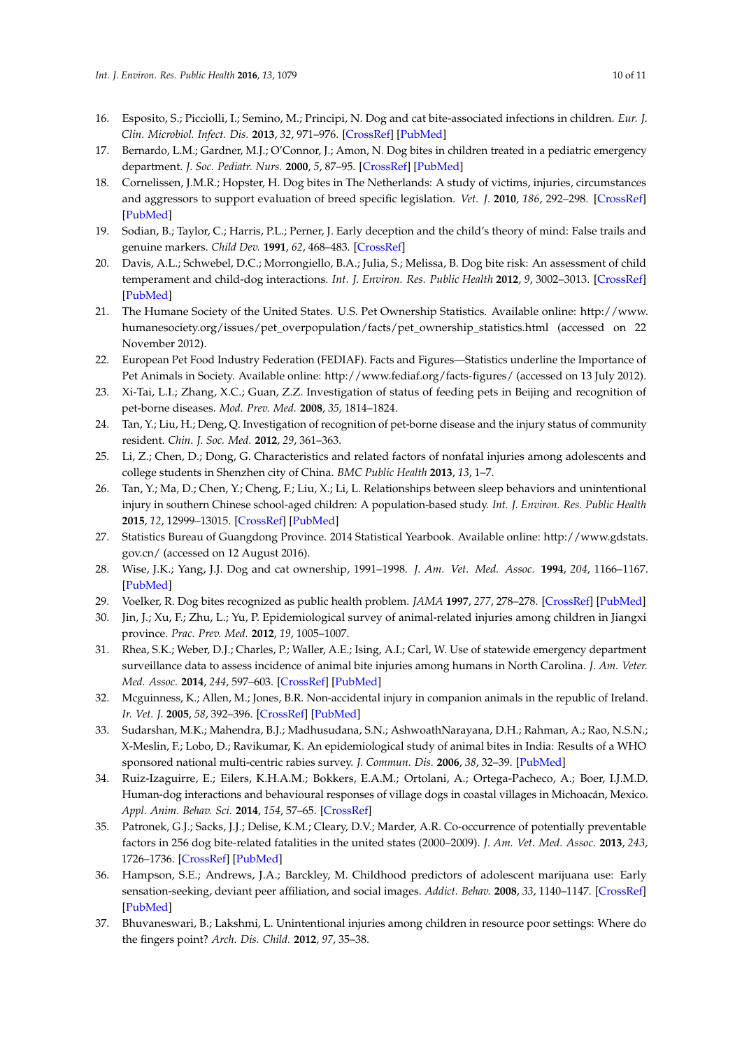- 16. Esposito, S.; Picciolli, I.; Semino, M.; Principi, N. Dog and cat bite-associated infections in children. *Eur. J. Clin. Microbiol. Infect. Dis.* **2013**, *32*, 971–976. [\[CrossRef\]](http://dx.doi.org/10.1007/s10096-013-1840-x) [\[PubMed\]](http://www.ncbi.nlm.nih.gov/pubmed/23404346)
- 17. Bernardo, L.M.; Gardner, M.J.; O'Connor, J.; Amon, N. Dog bites in children treated in a pediatric emergency department. *J. Soc. Pediatr. Nurs.* **2000**, *5*, 87–95. [\[CrossRef\]](http://dx.doi.org/10.1111/j.1744-6155.2000.tb00090.x) [\[PubMed\]](http://www.ncbi.nlm.nih.gov/pubmed/10879363)
- 18. Cornelissen, J.M.R.; Hopster, H. Dog bites in The Netherlands: A study of victims, injuries, circumstances and aggressors to support evaluation of breed specific legislation. *Vet. J.* **2010**, *186*, 292–298. [\[CrossRef\]](http://dx.doi.org/10.1016/j.tvjl.2009.10.001) [\[PubMed\]](http://www.ncbi.nlm.nih.gov/pubmed/19879172)
- 19. Sodian, B.; Taylor, C.; Harris, P.L.; Perner, J. Early deception and the child's theory of mind: False trails and genuine markers. *Child Dev.* **1991**, *62*, 468–483. [\[CrossRef\]](http://dx.doi.org/10.2307/1131124)
- 20. Davis, A.L.; Schwebel, D.C.; Morrongiello, B.A.; Julia, S.; Melissa, B. Dog bite risk: An assessment of child temperament and child-dog interactions. *Int. J. Environ. Res. Public Health* **2012**, *9*, 3002–3013. [\[CrossRef\]](http://dx.doi.org/10.3390/ijerph9083002) [\[PubMed\]](http://www.ncbi.nlm.nih.gov/pubmed/23066411)
- 21. The Humane Society of the United States. U.S. Pet Ownership Statistics. Available online: http://www. humanesociety.org/issues/pet\_overpopulation/facts/pet\_ownership\_statistics.html (accessed on 22 November 2012).
- 22. European Pet Food Industry Federation (FEDIAF). Facts and Figures—Statistics underline the Importance of Pet Animals in Society. Available online: <http://www.fediaf.org/facts-figures/> (accessed on 13 July 2012).
- 23. Xi-Tai, L.I.; Zhang, X.C.; Guan, Z.Z. Investigation of status of feeding pets in Beijing and recognition of pet-borne diseases. *Mod. Prev. Med.* **2008**, *35*, 1814–1824.
- 24. Tan, Y.; Liu, H.; Deng, Q. Investigation of recognition of pet-borne disease and the injury status of community resident. *Chin. J. Soc. Med.* **2012**, *29*, 361–363.
- 25. Li, Z.; Chen, D.; Dong, G. Characteristics and related factors of nonfatal injuries among adolescents and college students in Shenzhen city of China. *BMC Public Health* **2013**, *13*, 1–7.
- 26. Tan, Y.; Ma, D.; Chen, Y.; Cheng, F.; Liu, X.; Li, L. Relationships between sleep behaviors and unintentional injury in southern Chinese school-aged children: A population-based study. *Int. J. Environ. Res. Public Health* **2015**, *12*, 12999–13015. [\[CrossRef\]](http://dx.doi.org/10.3390/ijerph121012999) [\[PubMed\]](http://www.ncbi.nlm.nih.gov/pubmed/26501305)
- 27. Statistics Bureau of Guangdong Province. 2014 Statistical Yearbook. Available online: [http://www.gdstats.](http://www.gdstats.gov.cn/) [gov.cn/](http://www.gdstats.gov.cn/) (accessed on 12 August 2016).
- 28. Wise, J.K.; Yang, J.J. Dog and cat ownership, 1991–1998. *J. Am. Vet. Med. Assoc.* **1994**, *204*, 1166–1167. [\[PubMed\]](http://www.ncbi.nlm.nih.gov/pubmed/8014085)
- 29. Voelker, R. Dog bites recognized as public health problem. *JAMA* **1997**, *277*, 278–278. [\[CrossRef\]](http://dx.doi.org/10.1001/jama.1997.03540280016009) [\[PubMed\]](http://www.ncbi.nlm.nih.gov/pubmed/9002477)
- 30. Jin, J.; Xu, F.; Zhu, L.; Yu, P. Epidemiological survey of animal-related injuries among children in Jiangxi province. *Prac. Prev. Med.* **2012**, *19*, 1005–1007.
- 31. Rhea, S.K.; Weber, D.J.; Charles, P.; Waller, A.E.; Ising, A.I.; Carl, W. Use of statewide emergency department surveillance data to assess incidence of animal bite injuries among humans in North Carolina. *J. Am. Veter. Med. Assoc.* **2014**, *244*, 597–603. [\[CrossRef\]](http://dx.doi.org/10.2460/javma.244.5.597) [\[PubMed\]](http://www.ncbi.nlm.nih.gov/pubmed/24548236)
- 32. Mcguinness, K.; Allen, M.; Jones, B.R. Non-accidental injury in companion animals in the republic of Ireland. *Ir. Vet. J.* **2005**, *58*, 392–396. [\[CrossRef\]](http://dx.doi.org/10.1186/2046-0481-58-7-392) [\[PubMed\]](http://www.ncbi.nlm.nih.gov/pubmed/21851672)
- 33. Sudarshan, M.K.; Mahendra, B.J.; Madhusudana, S.N.; AshwoathNarayana, D.H.; Rahman, A.; Rao, N.S.N.; X-Meslin, F.; Lobo, D.; Ravikumar, K. An epidemiological study of animal bites in India: Results of a WHO sponsored national multi-centric rabies survey. *J. Commun. Dis.* **2006**, *38*, 32–39. [\[PubMed\]](http://www.ncbi.nlm.nih.gov/pubmed/17370688)
- 34. Ruiz-Izaguirre, E.; Eilers, K.H.A.M.; Bokkers, E.A.M.; Ortolani, A.; Ortega-Pacheco, A.; Boer, I.J.M.D. Human-dog interactions and behavioural responses of village dogs in coastal villages in Michoacán, Mexico. *Appl. Anim. Behav. Sci.* **2014**, *154*, 57–65. [\[CrossRef\]](http://dx.doi.org/10.1016/j.applanim.2014.02.002)
- 35. Patronek, G.J.; Sacks, J.J.; Delise, K.M.; Cleary, D.V.; Marder, A.R. Co-occurrence of potentially preventable factors in 256 dog bite-related fatalities in the united states (2000–2009). *J. Am. Vet. Med. Assoc.* **2013**, *243*, 1726–1736. [\[CrossRef\]](http://dx.doi.org/10.2460/javma.243.12.1726) [\[PubMed\]](http://www.ncbi.nlm.nih.gov/pubmed/24299544)
- 36. Hampson, S.E.; Andrews, J.A.; Barckley, M. Childhood predictors of adolescent marijuana use: Early sensation-seeking, deviant peer affiliation, and social images. *Addict. Behav.* **2008**, *33*, 1140–1147. [\[CrossRef\]](http://dx.doi.org/10.1016/j.addbeh.2008.04.010) [\[PubMed\]](http://www.ncbi.nlm.nih.gov/pubmed/18547739)
- 37. Bhuvaneswari, B.; Lakshmi, L. Unintentional injuries among children in resource poor settings: Where do the fingers point? *Arch. Dis. Child.* **2012**, *97*, 35–38.